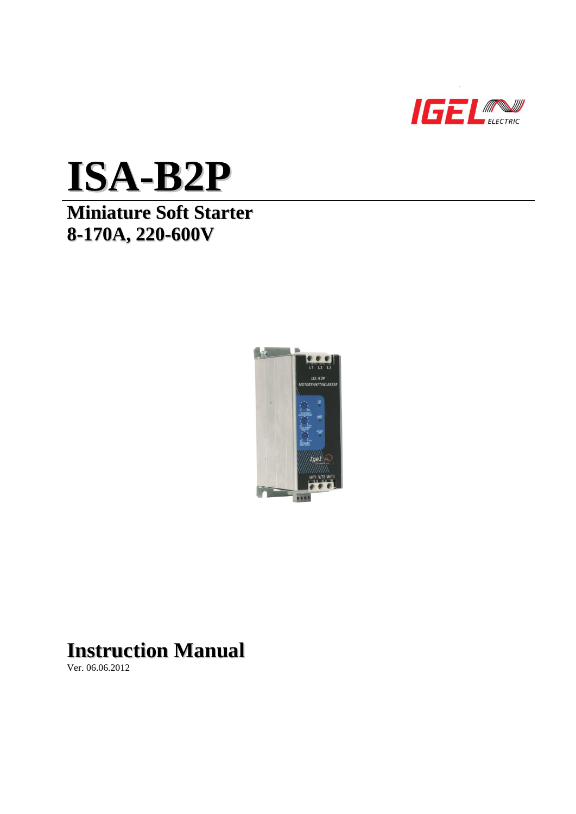



# **Miniature Soft Starter 8-170A, 220-600V**



# **Instruction Manual**

Ver. 06.06.2012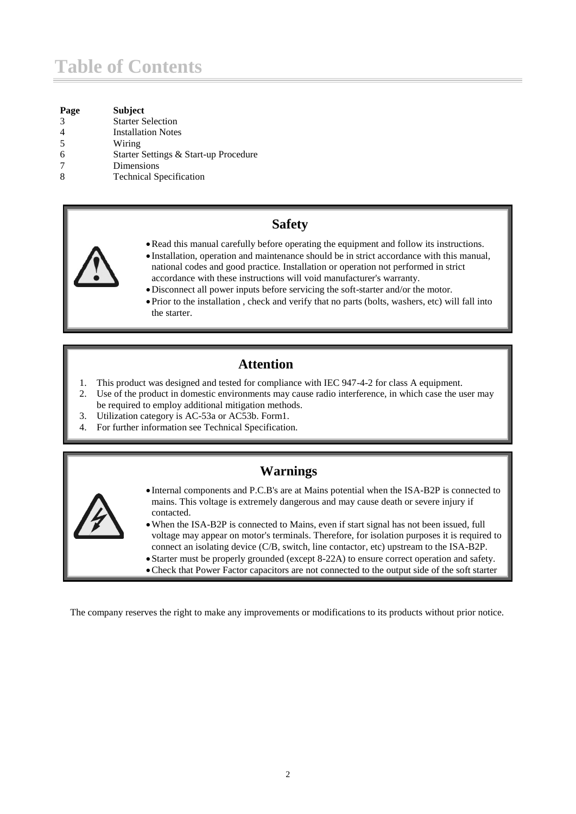# **Table of Contents**

| Page          | <b>Subject</b>                        |
|---------------|---------------------------------------|
| $\mathcal{R}$ | <b>Starter Selection</b>              |
|               | <b>Installation Notes</b>             |
| -5            | Wiring                                |
|               | Starter Settings & Start-up Procedure |
|               | Dimensions                            |
| 8             | <b>Technical Specification</b>        |
|               |                                       |

# **Safety**



- Installation, operation and maintenance should be in strict accordance with this manual, national codes and good practice. Installation or operation not performed in strict accordance with these instructions will void manufacturer's warranty.
- Disconnect all power inputs before servicing the soft-starter and/or the motor.
- Prior to the installation , check and verify that no parts (bolts, washers, etc) will fall into the starter.

# **Attention**

- 1. This product was designed and tested for compliance with IEC 947-4-2 for class A equipment.
- 2. Use of the product in domestic environments may cause radio interference, in which case the user may be required to employ additional mitigation methods.
- 3. Utilization category is AC-53a or AC53b. Form1.
- 4. For further information see Technical Specification.

# **Warnings**



- Internal components and P.C.B's are at Mains potential when the ISA-B2P is connected to mains. This voltage is extremely dangerous and may cause death or severe injury if contacted.
- When the ISA-B2P is connected to Mains, even if start signal has not been issued, full voltage may appear on motor's terminals. Therefore, for isolation purposes it is required to connect an isolating device (C/B, switch, line contactor, etc) upstream to the ISA-B2P.
- Starter must be properly grounded (except 8-22A) to ensure correct operation and safety.
- Check that Power Factor capacitors are not connected to the output side of the soft starter

The company reserves the right to make any improvements or modifications to its products without prior notice.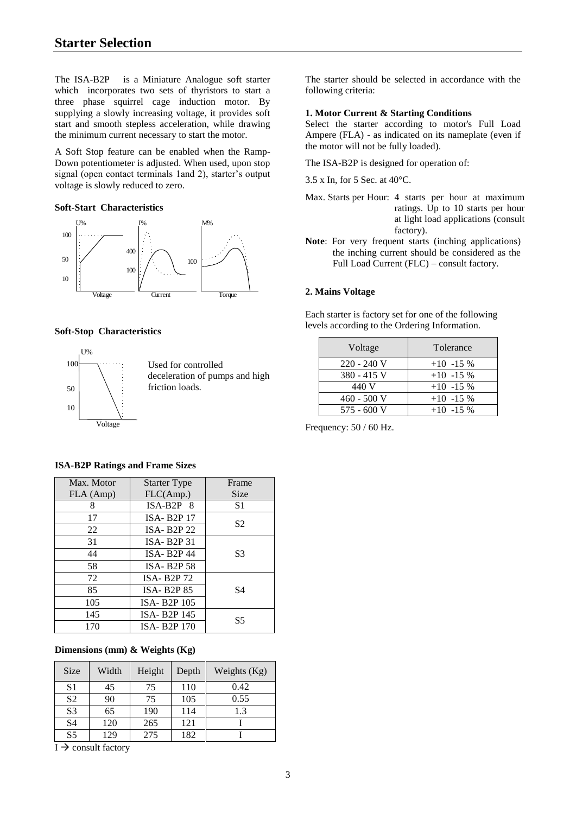The ISA-B2P is a Miniature Analogue soft starter which incorporates two sets of thyristors to start a three phase squirrel cage induction motor. By supplying a slowly increasing voltage, it provides soft start and smooth stepless acceleration, while drawing the minimum current necessary to start the motor.

A Soft Stop feature can be enabled when the Ramp-Down potentiometer is adjusted. When used, upon stop signal (open contact terminals 1and 2), starter's output voltage is slowly reduced to zero.

# **Soft-Start Characteristics**



#### **Soft-Stop Characteristics**



| Max. Motor | <b>Starter Type</b>                 | Frame          |
|------------|-------------------------------------|----------------|
| FLA (Amp)  | FLC(Amp.)                           | <b>Size</b>    |
| 8          | $ISA-B2P$ 8                         | S1             |
| 17         | <b>ISA-B2P17</b>                    | S <sub>2</sub> |
| 22         | ISA-B <sub>2</sub> P <sub>22</sub>  |                |
| 31         | ISA-B <sub>2</sub> P <sub>31</sub>  |                |
| 44         | <b>ISA-B2P44</b>                    | S3             |
| 58         | <b>ISA-B2P58</b>                    |                |
| 72         | <b>ISA-B2P72</b>                    |                |
| 85         | <b>ISA-B2P85</b>                    | S4             |
| 105        | ISA-B <sub>2</sub> P <sub>105</sub> |                |
| 145        | ISA-B <sub>2</sub> P <sub>145</sub> | S5             |
| 170        | ISA-B <sub>2</sub> P <sub>170</sub> |                |

#### **ISA-B2P Ratings and Frame Sizes**

# **Dimensions (mm) & Weights (Kg)**

| Size           | Width | Height | Depth | Weights (Kg) |
|----------------|-------|--------|-------|--------------|
| S1             | 45    | 75     | 110   | 0.42         |
| S <sub>2</sub> | 90    | 75     | 105   | 0.55         |
| S <sub>3</sub> | 65    | 190    | 114   | 1.3          |
| S4             | 120   | 265    | 121   |              |
| S <sub>5</sub> | 129   | 275    | 182   |              |

 $\overline{I}$   $\rightarrow$  consult factory

The starter should be selected in accordance with the following criteria:

# **1. Motor Current & Starting Conditions**

Select the starter according to motor's Full Load Ampere (FLA) - as indicated on its nameplate (even if the motor will not be fully loaded).

The ISA-B2P is designed for operation of:

- 3.5 x In, for 5 Sec. at 40°C.
- Max. Starts per Hour: 4 starts per hour at maximum ratings. Up to 10 starts per hour at light load applications (consult factory).
- **Note**: For very frequent starts (inching applications) the inching current should be considered as the Full Load Current (FLC) – consult factory.

#### **2. Mains Voltage**

Each starter is factory set for one of the following levels according to the Ordering Information.

| Voltage       | Tolerance   |
|---------------|-------------|
| 220 - 240 V   | $+10$ -15 % |
| 380 - 415 V   | $+10$ -15 % |
| 440 V         | $+10$ -15 % |
| $460 - 500$ V | $+10$ -15 % |
| $575 - 600$ V | $+10$ -15 % |

Frequency: 50 / 60 Hz.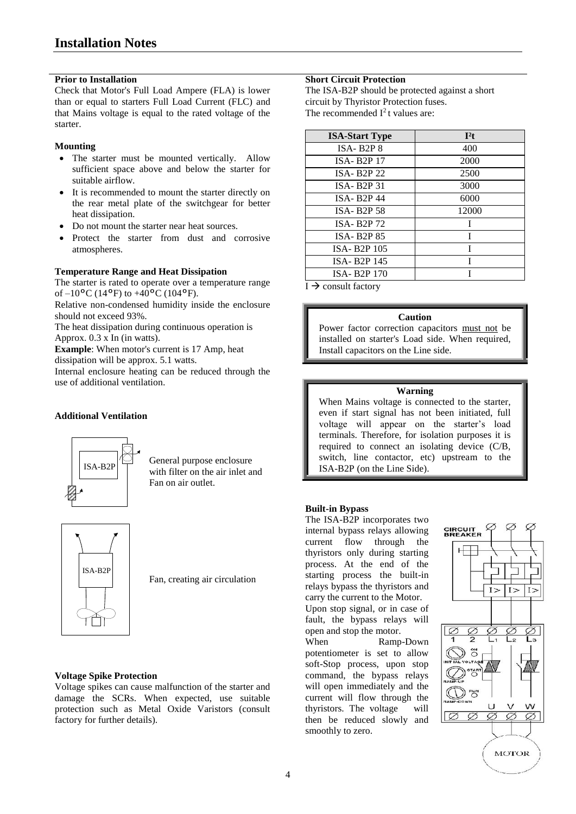# **Prior to Installation**

Check that Motor's Full Load Ampere (FLA) is lower than or equal to starters Full Load Current (FLC) and that Mains voltage is equal to the rated voltage of the starter.

# **Mounting**

- The starter must be mounted vertically. Allow sufficient space above and below the starter for suitable airflow.
- It is recommended to mount the starter directly on the rear metal plate of the switchgear for better heat dissipation.
- Do not mount the starter near heat sources.
- Protect the starter from dust and corrosive atmospheres.

# **Temperature Range and Heat Dissipation**

The starter is rated to operate over a temperature range of  $-10^{\circ}$ C (14°F) to  $+40^{\circ}$ C (104°F).

Relative non-condensed humidity inside the enclosure should not exceed 93%.

The heat dissipation during continuous operation is Approx. 0.3 x In (in watts).

**Example**: When motor's current is 17 Amp, heat dissipation will be approx. 5.1 watts.

Internal enclosure heating can be reduced through the use of additional ventilation.

# **Additional Ventilation**



General purpose enclosure with filter on the air inlet and Fan on air outlet.



Fan, creating air circulation

# **Voltage Spike Protection**

Voltage spikes can cause malfunction of the starter and damage the SCRs. When expected, use suitable protection such as Metal Oxide Varistors (consult factory for further details).

# **Short Circuit Protection**

The ISA-B2P should be protected against a short circuit by Thyristor Protection fuses. The recommended  $I^2$ t values are:

| <b>ISA-Start Type</b>               | I <sup>2</sup> t |
|-------------------------------------|------------------|
| $ISA-B2P8$                          | 400              |
| <b>ISA-B2P17</b>                    | 2000             |
| <b>ISA-B2P22</b>                    | 2500             |
| $ISA- B2P31$                        | 3000             |
| <b>ISA-B2P44</b>                    | 6000             |
| <b>ISA-B2P58</b>                    | 12000            |
| <b>ISA-B2P72</b>                    | T                |
| <b>ISA-B2P85</b>                    | Ī                |
| ISA-B <sub>2</sub> P <sub>105</sub> | T                |
| ISA-B <sub>2</sub> P <sub>145</sub> | T                |
| ISA-B <sub>2</sub> P <sub>170</sub> |                  |

 $I \rightarrow$  consult factory

# **Caution**

Power factor correction capacitors must not be installed on starter's Load side. When required, Install capacitors on the Line side.

# **Warning**

When Mains voltage is connected to the starter, even if start signal has not been initiated, full voltage will appear on the starter's load terminals. Therefore, for isolation purposes it is required to connect an isolating device (C/B, switch, line contactor, etc) upstream to the ISA-B2P (on the Line Side).

# **Built-in Bypass**

The ISA-B2P incorporates two internal bypass relays allowing current flow through the thyristors only during starting process. At the end of the starting process the built-in relays bypass the thyristors and carry the current to the Motor. Upon stop signal, or in case of

fault, the bypass relays will open and stop the motor.

When Ramp-Down potentiometer is set to allow soft-Stop process, upon stop command, the bypass relays will open immediately and the current will flow through the thyristors. The voltage will then be reduced slowly and smoothly to zero.

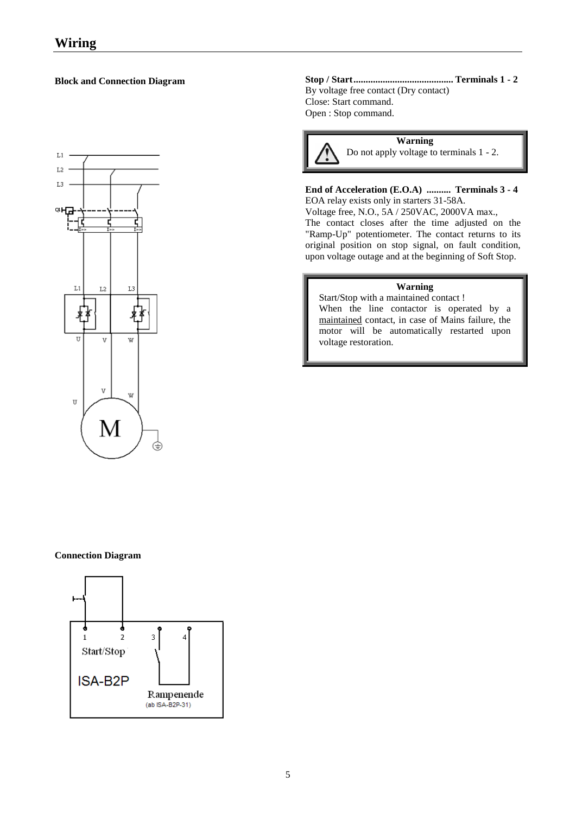# **Block and Connection Diagram**



# **Stop / Start......................................... Terminals 1 - 2** By voltage free contact (Dry contact) Close: Start command. Open : Stop command.



# **End of Acceleration (E.O.A) .......... Terminals 3 - 4** EOA relay exists only in starters 31-58A.

Voltage free, N.O., 5A / 250VAC, 2000VA max., The contact closes after the time adjusted on the "Ramp-Up" potentiometer. The contact returns to its original position on stop signal, on fault condition, upon voltage outage and at the beginning of Soft Stop.

# **Warning**

Start/Stop with a maintained contact ! When the line contactor is operated by a maintained contact, in case of Mains failure, the motor will be automatically restarted upon voltage restoration.

# **Connection Diagram**

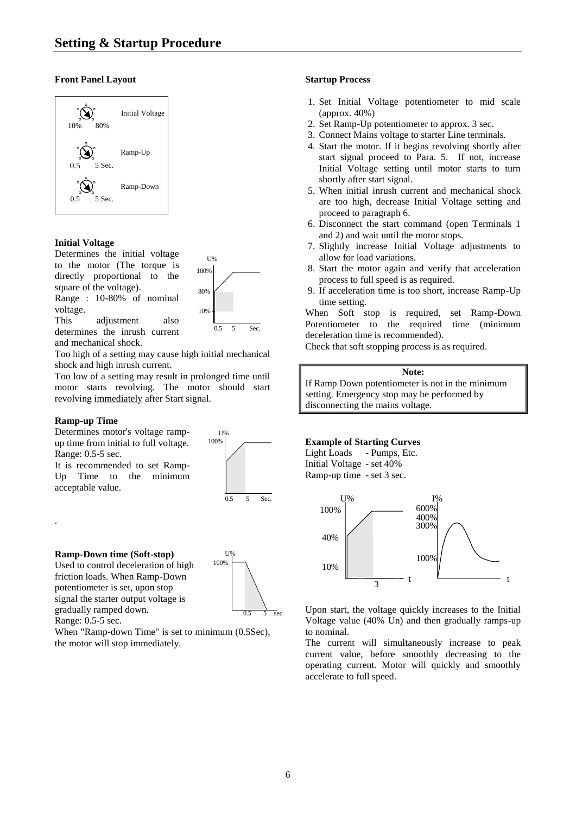# **Front Panel Layout**



# **Initial Voltage**

Determines the initial voltage to the motor (The torque is directly proportional to the square of the voltage). Range : 10-80% of nominal

voltage.



U% 100%

This adjustment also determines the inrush current and mechanical shock.

Too high of a setting may cause high initial mechanical shock and high inrush current.

Too low of a setting may result in prolonged time until motor starts revolving. The motor should start revolving immediately after Start signal.

# **Ramp-up Time**

.

Determines motor's voltage rampup time from initial to full voltage. Range: 0.5-5 sec.

It is recommended to set Ramp-Up Time to the minimum acceptable value.

**Ramp-Down time (Soft-stop)**

Used to control deceleration of high friction loads. When Ramp-Down potentiometer is set, upon stop signal the starter output voltage is gradually ramped down. Range: 0.5-5 sec.



0.5 5 Sec.

When "Ramp-down Time" is set to minimum (0.5Sec), the motor will stop immediately.

# **Startup Process**

- 1. Set Initial Voltage potentiometer to mid scale (approx. 40%)
- 2. Set Ramp-Up potentiometer to approx. 3 sec.
- 3. Connect Mains voltage to starter Line terminals.
- 4. Start the motor. If it begins revolving shortly after start signal proceed to Para. 5. If not, increase Initial Voltage setting until motor starts to turn shortly after start signal.
- 5. When initial inrush current and mechanical shock are too high, decrease Initial Voltage setting and proceed to paragraph 6.
- 6. Disconnect the start command (open Terminals 1 and 2) and wait until the motor stops.
- 7. Slightly increase Initial Voltage adjustments to allow for load variations.
- 8. Start the motor again and verify that acceleration process to full speed is as required.
- 9. If acceleration time is too short, increase Ramp-Up time setting.

When Soft stop is required, set Ramp-Down Potentiometer to the required time (minimum deceleration time is recommended).

Check that soft stopping process is as required.

#### **Note:**

If Ramp Down potentiometer is not in the minimum setting. Emergency stop may be performed by disconnecting the mains voltage.

# **Example of Starting Curves**

# Light Loads - Pumps, Etc. Initial Voltage - set 40%

Ramp-up time - set 3 sec.



Upon start, the voltage quickly increases to the Initial Voltage value (40% Un) and then gradually ramps-up to nominal.

The current will simultaneously increase to peak current value, before smoothly decreasing to the operating current. Motor will quickly and smoothly accelerate to full speed.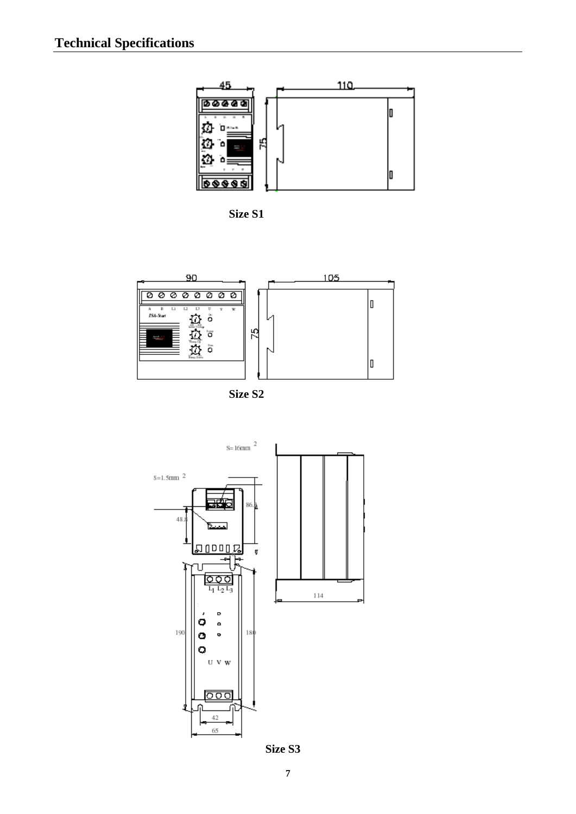









**Size S3**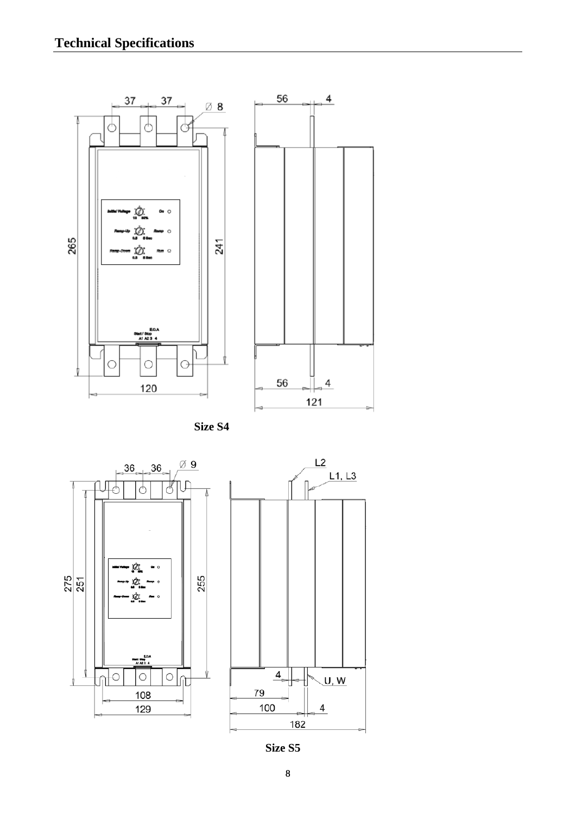





**Size S5**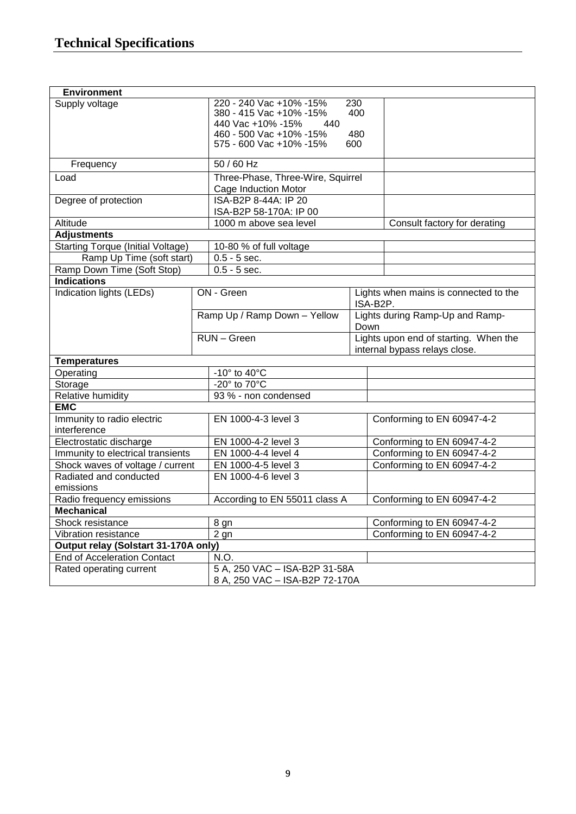| <b>Environment</b>                       |  |                                   |      |                                       |  |
|------------------------------------------|--|-----------------------------------|------|---------------------------------------|--|
| Supply voltage                           |  | 220 - 240 Vac +10% -15%<br>230    |      |                                       |  |
|                                          |  | 380 - 415 Vac +10% -15%           | 400  |                                       |  |
|                                          |  | 440 Vac +10% -15%<br>440          |      |                                       |  |
|                                          |  | 460 - 500 Vac +10% -15%           | 480  |                                       |  |
|                                          |  | 575 - 600 Vac +10% -15%           | 600  |                                       |  |
| Frequency                                |  | $50/60$ Hz                        |      |                                       |  |
| Load                                     |  | Three-Phase, Three-Wire, Squirrel |      |                                       |  |
|                                          |  | Cage Induction Motor              |      |                                       |  |
| Degree of protection                     |  | ISA-B2P 8-44A: IP 20              |      |                                       |  |
|                                          |  | ISA-B2P 58-170A: IP 00            |      |                                       |  |
| Altitude                                 |  | 1000 m above sea level            |      | Consult factory for derating          |  |
| <b>Adjustments</b>                       |  |                                   |      |                                       |  |
| <b>Starting Torque (Initial Voltage)</b> |  | 10-80 % of full voltage           |      |                                       |  |
| Ramp Up Time (soft start)                |  | $0.5 - 5$ sec.                    |      |                                       |  |
| Ramp Down Time (Soft Stop)               |  | $0.5 - 5$ sec.                    |      |                                       |  |
| <b>Indications</b>                       |  |                                   |      |                                       |  |
| Indication lights (LEDs)                 |  | ON - Green                        |      | Lights when mains is connected to the |  |
|                                          |  |                                   |      | ISA-B2P.                              |  |
|                                          |  | Ramp Up / Ramp Down - Yellow      |      | Lights during Ramp-Up and Ramp-       |  |
|                                          |  |                                   | Down |                                       |  |
|                                          |  | RUN - Green                       |      | Lights upon end of starting. When the |  |
|                                          |  |                                   |      | internal bypass relays close.         |  |
| <b>Temperatures</b>                      |  |                                   |      |                                       |  |
| Operating                                |  | -10 $\degree$ to 40 $\degree$ C   |      |                                       |  |
| Storage                                  |  | $-20^\circ$ to $70^\circ$ C       |      |                                       |  |
| Relative humidity                        |  | 93 % - non condensed              |      |                                       |  |
| <b>EMC</b>                               |  |                                   |      |                                       |  |
| Immunity to radio electric               |  | EN 1000-4-3 level 3               |      | Conforming to EN 60947-4-2            |  |
| interference                             |  |                                   |      |                                       |  |
| Electrostatic discharge                  |  | EN 1000-4-2 level 3               |      | Conforming to EN 60947-4-2            |  |
| Immunity to electrical transients        |  | EN 1000-4-4 level 4               |      | Conforming to EN 60947-4-2            |  |
| Shock waves of voltage / current         |  | EN 1000-4-5 level 3               |      | Conforming to EN 60947-4-2            |  |
| Radiated and conducted                   |  | EN 1000-4-6 level 3               |      |                                       |  |
| emissions                                |  |                                   |      |                                       |  |
| Radio frequency emissions                |  | According to EN 55011 class A     |      | Conforming to EN 60947-4-2            |  |
| <b>Mechanical</b>                        |  |                                   |      |                                       |  |
| Shock resistance                         |  | 8 gn                              |      | Conforming to EN 60947-4-2            |  |
| Vibration resistance                     |  | 2 <sub>gn</sub>                   |      | Conforming to EN 60947-4-2            |  |
| Output relay (Solstart 31-170A only)     |  |                                   |      |                                       |  |
| <b>End of Acceleration Contact</b>       |  | N.O.                              |      |                                       |  |
| Rated operating current                  |  | 5 A, 250 VAC - ISA-B2P 31-58A     |      |                                       |  |
|                                          |  | 8 A, 250 VAC - ISA-B2P 72-170A    |      |                                       |  |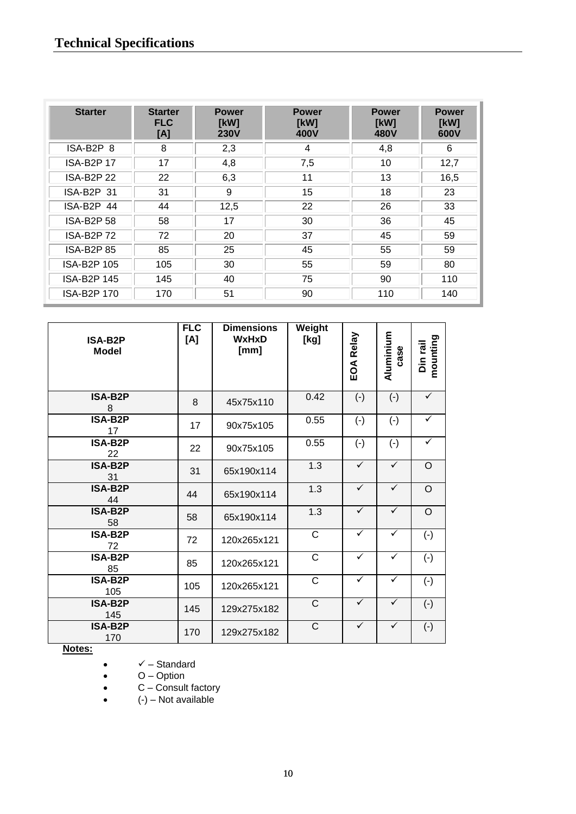| <b>Starter</b>     | <b>Starter</b><br><b>FLC</b><br>[A] | <b>Power</b><br>[kW]<br><b>230V</b> | <b>Power</b><br>[kW]<br>400V | <b>Power</b><br>[kW]<br>480V | <b>Power</b><br>[kW]<br>600V |
|--------------------|-------------------------------------|-------------------------------------|------------------------------|------------------------------|------------------------------|
| ISA-B2P 8          | 8                                   | 2,3                                 | 4                            | 4,8                          | 6                            |
| <b>ISA-B2P17</b>   | 17                                  | 4,8                                 | 7,5                          | 10                           | 12,7                         |
| <b>ISA-B2P 22</b>  | 22                                  | 6,3                                 | 11                           | 13                           | 16,5                         |
| ISA-B2P 31         | 31                                  | 9                                   | 15                           | 18                           | 23                           |
| ISA-B2P 44         | 44                                  | 12,5                                | 22                           | 26                           | 33                           |
| <b>ISA-B2P 58</b>  | 58                                  | 17                                  | 30                           | 36                           | 45                           |
| ISA-B2P 72         | 72                                  | 20                                  | 37                           | 45                           | 59                           |
| <b>ISA-B2P 85</b>  | 85                                  | 25                                  | 45                           | 55                           | 59                           |
| ISA-B2P 105        | 105                                 | 30                                  | 55                           | 59                           | 80                           |
| <b>ISA-B2P 145</b> | 145                                 | 40                                  | 75                           | 90                           | 110                          |
| <b>ISA-B2P 170</b> | 170                                 | 51                                  | 90                           | 110                          | 140                          |

| ISA-B2P<br><b>Model</b>              | <b>FLC</b><br>[A] | <b>Dimensions</b><br><b>WxHxD</b><br>[mm] | Weight<br>[kg] | Relay<br>EOA | Aluminium<br>case | mounting<br>Din rail |
|--------------------------------------|-------------------|-------------------------------------------|----------------|--------------|-------------------|----------------------|
| ISA-B2P<br>8                         | 8                 | 45x75x110                                 | 0.42           | $(-)$        | $(-)$             | ✓                    |
| <b>ISA-B2P</b><br>17                 | 17                | 90x75x105                                 | 0.55           | $(-)$        | $(-)$             | $\checkmark$         |
| <b>ISA-B2P</b><br>22                 | 22                | 90x75x105                                 | 0.55           | $(-)$        | $(-)$             | $\checkmark$         |
| <b>ISA-B2P</b><br>31                 | 31                | 65x190x114                                | 1.3            | $\checkmark$ | $\checkmark$      | $\circ$              |
| <b>ISA-B2P</b><br>44                 | 44                | 65x190x114                                | 1.3            | $\checkmark$ | $\checkmark$      | $\Omega$             |
| <b>ISA-B2P</b><br>58                 | 58                | 65x190x114                                | 1.3            | $\sqrt{}$    | $\checkmark$      | $\circ$              |
| ISA-B2P<br>72                        | 72                | 120x265x121                               | $\mathsf C$    | $\checkmark$ | ✓                 | $(\cdot)$            |
| ISA-B2P<br>85                        | 85                | 120x265x121                               | $\mathsf C$    | $\checkmark$ | ✓                 | $(-)$                |
| $\overline{\textsf{ISA-B2P}}$<br>105 | 105               | 120x265x121                               | $\overline{C}$ | $\checkmark$ | $\checkmark$      | $(-)$                |
| <b>ISA-B2P</b><br>145                | 145               | 129x275x182                               | $\mathsf C$    | $\checkmark$ | $\checkmark$      | $(-)$                |
| ISA-B2P<br>170                       | 170               | 129x275x182                               | $\mathsf C$    | $\checkmark$ | $\checkmark$      | $(-)$                |

**Notes:**

 $\bullet$   $\checkmark$  – Standard

O – Option

C – Consult factory

(-) – Not available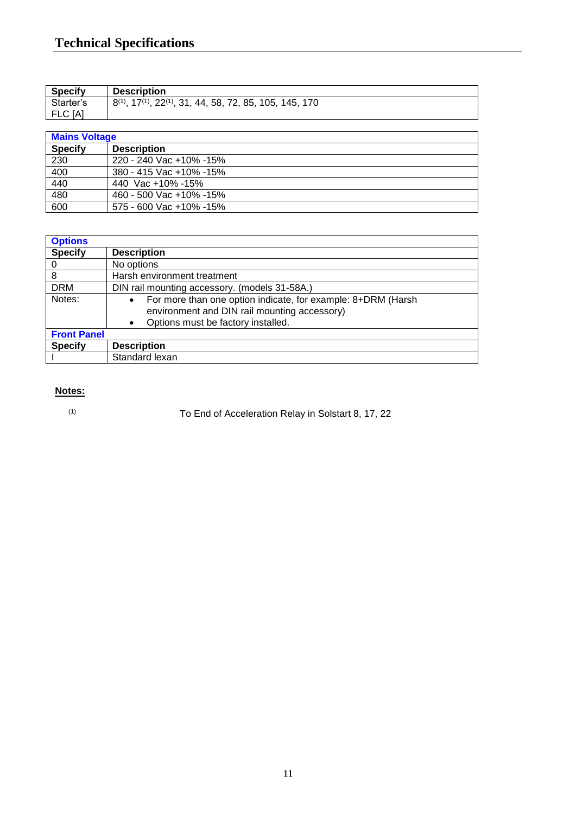| <b>Specify</b> | <b>Description</b>                                                  |
|----------------|---------------------------------------------------------------------|
| Starter's      | $(1, 17(1), 22(1), 31, 44, 58, 72, 85, 105, 145, 170)$<br>$8^{(1)}$ |
| FLC [A]        |                                                                     |

| <b>Mains Voltage</b> |                                |  |
|----------------------|--------------------------------|--|
| <b>Specify</b>       | <b>Description</b>             |  |
| 230                  | 220 - 240 Vac +10% -15%        |  |
| 400                  | 380 - 415 Vac +10% -15%        |  |
| 440                  | 440 Vac +10% -15%              |  |
| 480                  | 460 - 500 Vac +10% -15%        |  |
| 600                  | $575 - 600$ Vac $+10\% - 15\%$ |  |

| <b>Options</b>     |                                                                                                                                                                              |
|--------------------|------------------------------------------------------------------------------------------------------------------------------------------------------------------------------|
| <b>Specify</b>     | <b>Description</b>                                                                                                                                                           |
|                    | No options                                                                                                                                                                   |
| 8                  | Harsh environment treatment                                                                                                                                                  |
| <b>DRM</b>         | DIN rail mounting accessory. (models 31-58A.)                                                                                                                                |
| Notes:             | For more than one option indicate, for example: 8+DRM (Harsh<br>$\bullet$<br>environment and DIN rail mounting accessory)<br>Options must be factory installed.<br>$\bullet$ |
| <b>Front Panel</b> |                                                                                                                                                                              |
| <b>Specify</b>     | <b>Description</b>                                                                                                                                                           |
|                    | Standard lexan                                                                                                                                                               |

# **Notes:**

(1)

To End of Acceleration Relay in Solstart 8, 17, 22